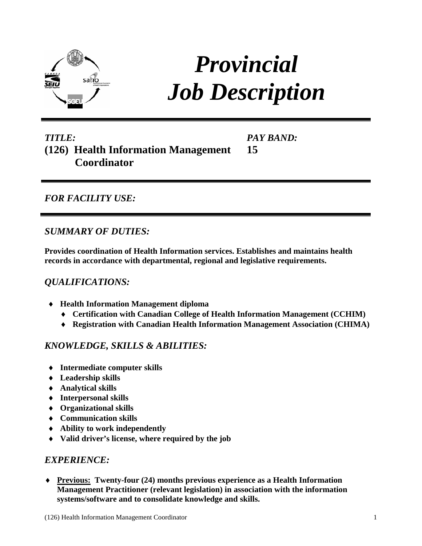

# *Provincial Job Description*

# *TITLE:* **(126) Health Information Management Coordinator**

*PAY BAND:* **15**

## *FOR FACILITY USE:*

#### *SUMMARY OF DUTIES:*

**Provides coordination of Health Information services. Establishes and maintains health records in accordance with departmental, regional and legislative requirements.** 

## *QUALIFICATIONS:*

- ♦ **Health Information Management diploma** 
	- ♦ **Certification with Canadian College of Health Information Management (CCHIM)**
	- ♦ **Registration with Canadian Health Information Management Association (CHIMA)**

## *KNOWLEDGE, SKILLS & ABILITIES:*

- ♦ **Intermediate computer skills**
- ♦ **Leadership skills**
- ♦ **Analytical skills**
- ♦ **Interpersonal skills**
- ♦ **Organizational skills**
- ♦ **Communication skills**
- ♦ **Ability to work independently**
- ♦ **Valid driver's license, where required by the job**

#### *EXPERIENCE:*

♦ **Previous: Twenty-four (24) months previous experience as a Health Information Management Practitioner (relevant legislation) in association with the information systems/software and to consolidate knowledge and skills.**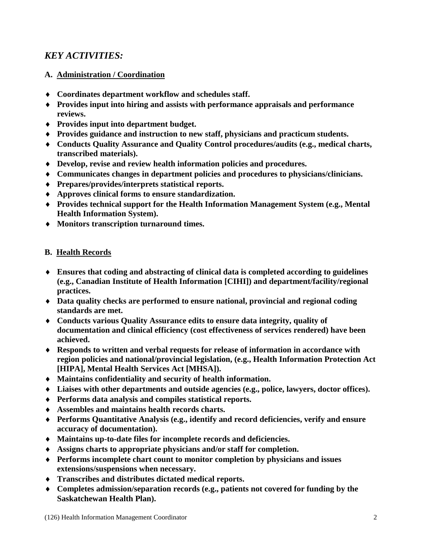## *KEY ACTIVITIES:*

#### **A. Administration / Coordination**

- ♦ **Coordinates department workflow and schedules staff.**
- ♦ **Provides input into hiring and assists with performance appraisals and performance reviews.**
- ♦ **Provides input into department budget.**
- ♦ **Provides guidance and instruction to new staff, physicians and practicum students.**
- ♦ **Conducts Quality Assurance and Quality Control procedures/audits (e.g., medical charts, transcribed materials).**
- ♦ **Develop, revise and review health information policies and procedures.**
- ♦ **Communicates changes in department policies and procedures to physicians/clinicians.**
- ♦ **Prepares/provides/interprets statistical reports.**
- ♦ **Approves clinical forms to ensure standardization.**
- ♦ **Provides technical support for the Health Information Management System (e.g., Mental Health Information System).**
- ♦ **Monitors transcription turnaround times.**

#### **B. Health Records**

- ♦ **Ensures that coding and abstracting of clinical data is completed according to guidelines (e.g., Canadian Institute of Health Information [CIHI]) and department/facility/regional practices.**
- ♦ **Data quality checks are performed to ensure national, provincial and regional coding standards are met.**
- ♦ **Conducts various Quality Assurance edits to ensure data integrity, quality of documentation and clinical efficiency (cost effectiveness of services rendered) have been achieved.**
- ♦ **Responds to written and verbal requests for release of information in accordance with region policies and national/provincial legislation, (e.g., Health Information Protection Act [HIPA], Mental Health Services Act [MHSA]).**
- ♦ **Maintains confidentiality and security of health information.**
- ♦ **Liaises with other departments and outside agencies (e.g., police, lawyers, doctor offices).**
- ♦ **Performs data analysis and compiles statistical reports.**
- ♦ **Assembles and maintains health records charts.**
- ♦ **Performs Quantitative Analysis (e.g., identify and record deficiencies, verify and ensure accuracy of documentation).**
- ♦ **Maintains up-to-date files for incomplete records and deficiencies.**
- ♦ **Assigns charts to appropriate physicians and/or staff for completion.**
- ♦ **Performs incomplete chart count to monitor completion by physicians and issues extensions/suspensions when necessary.**
- ♦ **Transcribes and distributes dictated medical reports.**
- ♦ **Completes admission/separation records (e.g., patients not covered for funding by the Saskatchewan Health Plan).**